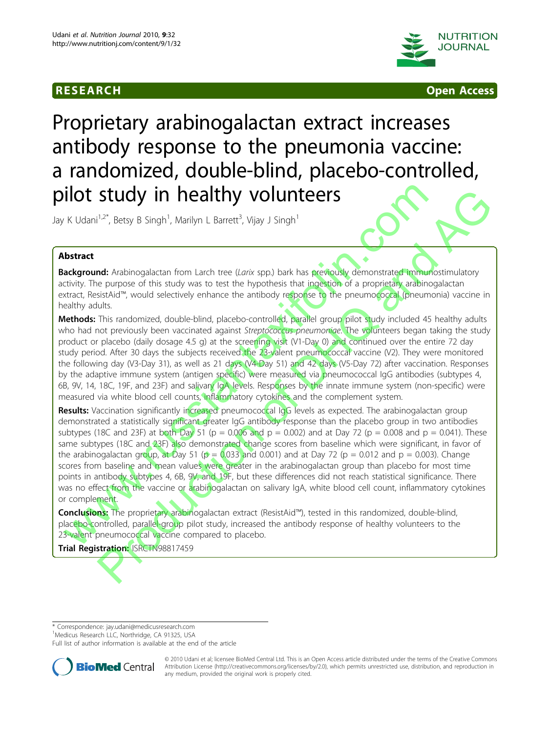



# Proprietary arabinogalactan extract increases antibody response to the pneumonia vaccine: a randomized, double-blind, placebo-controlled, pilot study in healthy volunteers

Jay K Udani<sup>1,2\*</sup>, Betsy B Singh<sup>1</sup>, Marilyn L Barrett<sup>3</sup>, Vijay J Singh<sup>1</sup>

# Abstract

Background: Arabinogalactan from Larch tree (Larix spp.) bark has previously demonstrated immunostimulatory activity. The purpose of this study was to test the hypothesis that ingestion of a proprietary arabinogalactan extract, ResistAid™, would selectively enhance the antibody response to the pneumococcal (pneumonia) vaccine in healthy adults.

Methods: This randomized, double-blind, placebo-controlled, parallel group pilot study included 45 healthy adults who had not previously been vaccinated against Streptococcus pneumoniae. The volunteers began taking the study product or placebo (daily dosage 4.5 g) at the screening visit (V1-Day 0) and continued over the entire 72 day study period. After 30 days the subjects received the 23-valent pneumococcal vaccine (V2). They were monitored the following day (V3-Day 31), as well as 21 days (V4-Day 51) and 42 days (V5-Day 72) after vaccination. Responses by the adaptive immune system (antigen specific) were measured via pneumococcal IgG antibodies (subtypes 4, 6B, 9V, 14, 18C, 19F, and 23F) and salivary IgA levels. Responses by the innate immune system (non-specific) were measured via white blood cell counts, inflammatory cytokines and the complement system.

Results: Vaccination significantly increased pneumococcal IgG levels as expected. The arabinogalactan group demonstrated a statistically significant greater IgG antibody response than the placebo group in two antibodies subtypes (18C and 23F) at both Day 51 (p = 0.006 and p = 0.002) and at Day 72 (p = 0.008 and p = 0.041). These same subtypes (18C and 23F) also demonstrated change scores from baseline which were significant, in favor of the arabinogalactan group, at Day 51 ( $p = 0.033$  and 0.001) and at Day 72 ( $p = 0.012$  and  $p = 0.003$ ). Change scores from baseline and mean values were greater in the arabinogalactan group than placebo for most time points in antibody subtypes 4, 6B, 9V, and 19F, but these differences did not reach statistical significance. There was no effect from the vaccine or arabinogalactan on salivary IgA, white blood cell count, inflammatory cytokines or complement. **illot study in healthy volunteers**<br>
K Udani<sup>122</sup>, Betsy B Singh<sup>1</sup>, Marilyn L Barett<sup>2</sup>, Vijay J Singh<sup>1</sup><br> **bstract**<br> **ackground:** Anthinogalactan from Latch tree (Latix spp) bark has **perioduly** demonstrated **terms**<br> **bs Study in healthy volunteers**<br>
P<sup>r</sup>, Beisy B Singh<sup>1</sup>, Marilyn L Bareut<sup>3</sup>, Viay J Singh<sup>1</sup><br> **nd.** Andhinogaladran from Lach tree (Jobs spp) balk has proposedly demonstrater embedding the purpose of this study was to test

Conclusions: The proprietary arabinogalactan extract (ResistAid™), tested in this randomized, double-blind, placebo-controlled, parallel-group pilot study, increased the antibody response of healthy volunteers to the 23-valent pneumococcal vaccine compared to placebo.

Trial Registration: ISRCTN98817459

Full list of author information is available at the end of the article



© 2010 Udani et al; licensee BioMed Central Ltd. This is an Open Access article distributed under the terms of the Creative Commons Attribution License [\(http://creativecommons.org/licenses/by/2.0](http://creativecommons.org/licenses/by/2.0)), which permits unrestricted use, distribution, and reproduction in any medium, provided the original work is properly cited.

<sup>\*</sup> Correspondence: [jay.udani@medicusresearch.com](mailto:jay.udani@medicusresearch.com)

<sup>&</sup>lt;sup>1</sup>Medicus Research LLC, Northridge, CA 91325, USA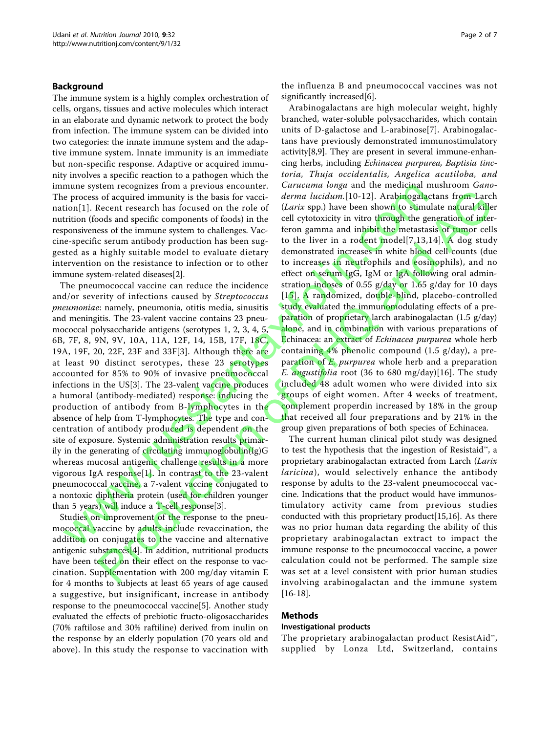# Background

The immune system is a highly complex orchestration of cells, organs, tissues and active molecules which interact in an elaborate and dynamic network to protect the body from infection. The immune system can be divided into two categories: the innate immune system and the adaptive immune system. Innate immunity is an immediate but non-specific response. Adaptive or acquired immunity involves a specific reaction to a pathogen which the immune system recognizes from a previous encounter. The process of acquired immunity is the basis for vaccination[\[1\]](#page-5-0). Recent research has focused on the role of nutrition (foods and specific components of foods) in the responsiveness of the immune system to challenges. Vaccine-specific serum antibody production has been suggested as a highly suitable model to evaluate dietary intervention on the resistance to infection or to other immune system-related diseases[2].

The pneumococcal vaccine can reduce the incidence and/or severity of infections caused by Streptococcus pneumoniae: namely, pneumonia, otitis media, sinusitis and meningitis. The 23-valent vaccine contains 23 pneumococcal polysaccharide antigens (serotypes 1, 2, 3, 4, 5, 6B, 7F, 8, 9N, 9V, 10A, 11A, 12F, 14, 15B, 17F, 18C, 19A, 19F, 20, 22F, 23F and 33F[3]. Although there are at least 90 distinct serotypes, these 23 serotypes accounted for 85% to 90% of invasive pneumococcal infections in the US[3]. The 23-valent vaccine produces a humoral (antibody-mediated) response: inducing the production of antibody from B-lymphocytes in the absence of help from T-lymphocytes. The type and concentration of antibody produced is dependent on the site of exposure. Systemic administration results primarily in the generating of circulating immunoglobulin(Ig)G whereas mucosal antigenic challenge results in a more vigorous IgA response $[1]$ . In contrast to the 23-valent pneumococcal vaccine, a 7-valent vaccine conjugated to a nontoxic diphtheria protein (used for children younger than 5 years) will induce a T-cell response[3]. mum eystem recognizes [f](#page-6-0)rom a previous encounter. Currelement long and the medicinal must<br>process of acquired immunity is the basis for vacci-<br>derma lucidium [10-12]. Arabinogalactar<br>trition (foods and specific components

Studies on improvement of the response to the pneumococcal vaccine by adults include revaccination, the addition on conjugates to the vaccine and alternative antigenic substances[4]. In addition, nutritional products have been tested on their effect on the response to vaccination. Supplementation with 200 mg/day vitamin E for 4 months to subjects at least 65 years of age caused a suggestive, but insignificant, increase in antibody response to the pneumococcal vaccine[\[5](#page-5-0)]. Another study evaluated the effects of prebiotic fructo-oligosaccharides (70% raftilose and 30% raftiline) derived from inulin on the response by an elderly population (70 years old and above). In this study the response to vaccination with the influenza B and pneumococcal vaccines was not significantly increased[[6\]](#page-5-0).

Arabinogalactans are high molecular weight, highly branched, water-soluble polysaccharides, which contain units of D-galactose and L-arabinose[\[7](#page-5-0)]. Arabinogalactans have previously demonstrated immunostimulatory activity[[8,9\]](#page-5-0). They are present in several immune-enhancing herbs, including Echinacea purpurea, Baptisia tinctoria, Thuja occidentalis, Angelica acutiloba, and Curucuma longa and the medicinal mushroom Gano-derma lucidum.[\[10-12\]](#page-6-0). Arabinogalactans from Larch (*Larix* spp.) have been shown to stimulate natural killer cell cytotoxicity in vitro through the generation of interferon gamma and inhibit the metastasis of tumor cells to the liver in a rodent model[7,13,14]. A dog study demonstrated increases in white blood cell counts (due to increases in neutrophils and eosinophils), and no effect on serum IgG, IgM or IgA following oral adminstration indoses of 0.55 g/day or 1.65 g/day for 10 days [15]. A randomized, double-blind, placebo-controlled study evaluated the immunomodulating effects of a preparation of proprietary larch arabinogalactan (1.5 g/day) alone, and in combination with various preparations of Echinacea: an extract of *Echinacea purpurea* whole herb containing 4% phenolic compound (1.5 g/day), a preparation of E. purpurea whole herb and a preparation E. angustifolia root (36 to 680 mg/day)[16]. The study included 48 adult women who were divided into six groups of eight women. After 4 weeks of treatment, complement properdin increased by 18% in the group that received all four preparations and by 21% in the group given preparations of both species of Echinacea. is of acquired immunity pine basis for vacci-<br>of acquired immunity is the basis for vacci-<br>of acquired immultiple and the result of the result of the set and the set allows be a stellar<br>condition and the result of the con

The current human clinical pilot study was designed to test the hypothesis that the ingestion of Resistaid™, a proprietary arabinogalactan extracted from Larch (Larix laricina), would selectively enhance the antibody response by adults to the 23-valent pneumococcal vaccine. Indications that the product would have immunostimulatory activity came from previous studies conducted with this proprietary product[15,16]. As there was no prior human data regarding the ability of this proprietary arabinogalactan extract to impact the immune response to the pneumococcal vaccine, a power calculation could not be performed. The sample size was set at a level consistent with prior human studies involving arabinogalactan and the immune system [[16-18\]](#page-6-0).

#### Methods

#### Investigational products

The proprietary arabinogalactan product ResistAid™, supplied by Lonza Ltd, Switzerland, contains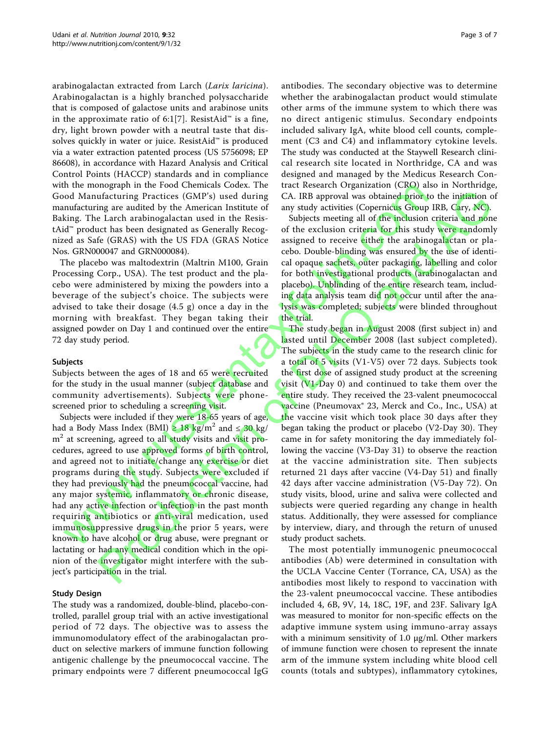arabinogalactan extracted from Larch (Larix laricina). Arabinogalactan is a highly branched polysaccharide that is composed of galactose units and arabinose units in the approximate ratio of 6:1[[7](#page-5-0)]. ResistAid™ is a fine, dry, light brown powder with a neutral taste that dissolves quickly in water or juice. ResistAid™ is produced via a water extraction patented process (US 5756098; EP 86608), in accordance with Hazard Analysis and Critical Control Points (HACCP) standards and in compliance with the monograph in the Food Chemicals Codex. The Good Manufacturing Practices (GMP's) used during manufacturing are audited by the American Institute of Baking. The Larch arabinogalactan used in the ResistAid™ product has been designated as Generally Recognized as Safe (GRAS) with the US FDA (GRAS Notice Nos. GRN000047 and GRN000084).

The placebo was maltodextrin (Maltrin M100, Grain Processing Corp., USA). The test product and the placebo were administered by mixing the powders into a beverage of the subject's choice. The subjects were advised to take their dosage (4.5 g) once a day in the morning with breakfast. They began taking their assigned powder on Day 1 and continued over the entire 72 day study period.

# Subjects

Subjects between the ages of 18 and 65 were recruited for the study in the usual manner (subject database and community advertisements). Subjects were phonescreened prior to scheduling a screening visit.

Subjects were included if they were 18-65 years of age, had a Body Mass Index (BMI)  $\geq 18$  kg/m<sup>2</sup> and  $\leq 30$  kg/  $m<sup>2</sup>$  at screening, agreed to all study visits and visit procedures, agreed to use approved forms of birth control, and agreed not to initiate/change any exercise or diet programs during the study. Subjects were excluded if they had previously had the pneumococcal vaccine, had any major systemic, inflammatory or chronic disease, had any active infection or infection in the past month requiring antibiotics or anti-viral medication, used immunosuppressive drugs in the prior 5 years, were known to have alcohol or drug abuse, were pregnant or lactating or had any medical condition which in the opinion of the investigator might interfere with the subject's participation in the trial.

#### Study Design

The study was a randomized, double-blind, placebo-controlled, parallel group trial with an active investigational period of 72 days. The objective was to assess the immunomodulatory effect of the arabinogalactan product on selective markers of immune function following antigenic challenge by the pneumococcal vaccine. The primary endpoints were 7 different pneumococcal IgG antibodies. The secondary objective was to determine whether the arabinogalactan product would stimulate other arms of the immune system to which there was no direct antigenic stimulus. Secondary endpoints included salivary IgA, white blood cell counts, complement (C3 and C4) and inflammatory cytokine levels. The study was conducted at the Staywell Research clinical research site located in Northridge, CA and was designed and managed by the Medicus Research Contract Research Organization (CRO) also in Northridge, CA. IRB approval was obtained prior to the initiation of any study activities (Copernicus Group IRB, Cary, NC).

Subjects meeting all of the inclusion criteria and none of the exclusion criteria for this study were randomly assigned to receive either the arabinogalactan or placebo. Double-blinding was ensured by the use of identical opaque sachets, outer packaging, labelling and color for both investigational products (arabinogalactan and placebo). Unblinding of the entire research team, including data analysis team did not occur until after the analysis was completed; subjects were blinded throughout the trial.

The study began in August 2008 (first subject in) and lasted until December 2008 (last subject completed). The subjects in the study came to the research clinic for a total of 5 visits (V1-V5) over 72 days. Subjects took the first dose of assigned study product at the screening visit (V1-Day 0) and continued to take them over the entire study. They received the 23-valent pneumococcal vaccine (Pneumovax® 23, Merck and Co., Inc., USA) at the vaccine visit which took place 30 days after they began taking the product or placebo (V2-Day 30). They came in for safety monitoring the day immediately following the vaccine (V3-Day 31) to observe the reaction at the vaccine administration site. Then subjects returned 21 days after vaccine (V4-Day 51) and finally 42 days after vaccine administration (V5-Day 72). On study visits, blood, urine and saliva were collected and subjects were queried regarding any change in health status. Additionally, they were assessed for compliance by interview, diary, and through the return of unused study product sachets. In the Food Chemicals Code. The tract kesserin Organization (CK) also that the control of Manufacturing Practices (GMPs) used during CA. IRB approval was obtained prior to the American Institute of any study activities (C In<br>facturing Practices (GMP's) used during CA. IRB approvides Copernicies Controls the American function<br>and the Land and Some during in a subset section of the relation of the method of the CHAS is the production of the

The most potentially immunogenic pneumococcal antibodies (Ab) were determined in consultation with the UCLA Vaccine Center (Torrance, CA, USA) as the antibodies most likely to respond to vaccination with the 23-valent pneumococcal vaccine. These antibodies included 4, 6B, 9V, 14, 18C, 19F, and 23F. Salivary IgA was measured to monitor for non-specific effects on the adaptive immune system using immuno-array assays with a minimum sensitivity of 1.0 μg/ml. Other markers of immune function were chosen to represent the innate arm of the immune system including white blood cell counts (totals and subtypes), inflammatory cytokines,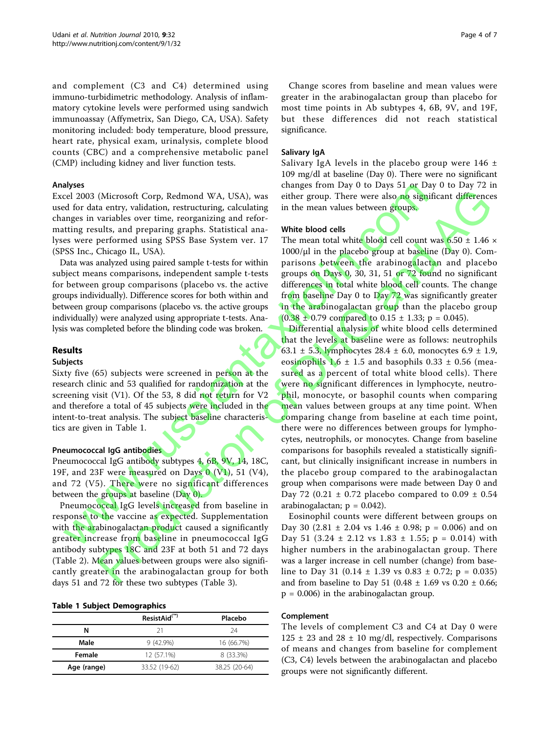and complement (C3 and C4) determined using immuno-turbidimetric methodology. Analysis of inflammatory cytokine levels were performed using sandwich immunoassay (Affymetrix, San Diego, CA, USA). Safety monitoring included: body temperature, blood pressure, heart rate, physical exam, urinalysis, complete blood counts (CBC) and a comprehensive metabolic panel (CMP) including kidney and liver function tests.

# Analyses

Excel 2003 (Microsoft Corp, Redmond WA, USA), was used for data entry, validation, restructuring, calculating changes in variables over time, reorganizing and reformatting results, and preparing graphs. Statistical analyses were performed using SPSS Base System ver. 17 (SPSS Inc., Chicago IL, USA).

Data was analyzed using paired sample t-tests for within subject means comparisons, independent sample t-tests for between group comparisons (placebo vs. the active groups individually). Difference scores for both within and between group comparisons (placebo vs. the active groups individually) were analyzed using appropriate t-tests. Analysis was completed before the blinding code was broken.

# Results

# **Subjects**

Sixty five (65) subjects were screened in person at the research clinic and 53 qualified for randomization at the screening visit (V1). Of the 53, 8 did not return for V2 and therefore a total of 45 subjects were included in the intent-to-treat analysis. The subject baseline characteristics are given in Table 1.

# Pneumococcal IgG antibodies

Pneumococcal IgG antibody subtypes 4, 6B, 9V, 14, 18C, 19F, and 23F were measured on Days  $0$  (V1), 51 (V4), and 72 (V5). There were no significant differences between the groups at baseline (Day 0).

Pneumococcal IgG levels increased from baseline in response to the vaccine as expected. Supplementation with the arabinogalactan product caused a significantly greater increase from baseline in pneumococcal IgG antibody subtypes 18C and 23F at both 51 and 72 days (Table [2\)](#page-4-0). Mean values between groups were also significantly greater in the arabinogalactan group for both days 51 and 72 for these two subtypes (Table [3\)](#page-4-0).

#### Table 1 Subject Demographics

|             | ResistAid <sup>("")</sup> | Placebo       |
|-------------|---------------------------|---------------|
| N           | 21                        | 24            |
| Male        | $9(42.9\%)$               | 16 (66.7%)    |
| Female      | 12 (57.1%)                | 8 (33.3%)     |
| Age (range) | 33.52 (19-62)             | 38.25 (20-64) |

Change scores from baseline and mean values were greater in the arabinogalactan group than placebo for most time points in Ab subtypes 4, 6B, 9V, and 19F, but these differences did not reach statistical significance.

#### Salivary IgA

Salivary IgA levels in the placebo group were  $146 \pm$ 109 mg/dl at baseline (Day 0). There were no significant changes from Day 0 to Days 51 or Day 0 to Day 72 in either group. There were also no significant differences in the mean values between groups.

# White blood cells

The mean total white blood cell count was  $6.50 \pm 1.46 \times$  $1000/\mu$ l in the placebo group at baseline (Day 0). Comparisons between the arabinogalactan and placebo groups on Days 0, 30, 31, 51 or 72 found no significant differences in total white blood cell counts. The change from baseline Day 0 to Day 72 was significantly greater in the arabinogalactan group than the placebo group  $(0.38 \pm 0.79$  compared to  $0.15 \pm 1.33$ ; p = 0.045).

Differential analysis of white blood cells determined that the levels at baseline were as follows: neutrophils 63.1  $\pm$  5.3, lymphocytes 28.4  $\pm$  6.0, monocytes 6.9  $\pm$  1.9, eosinophils 1.6  $\pm$  1.5 and basophils 0.33  $\pm$  0.56 (measured as a percent of total white blood cells). There were no significant differences in lymphocyte, neutrophil, monocyte, or basophil counts when comparing mean values between groups at any time point. When comparing change from baseline at each time point, there were no differences between groups for lymphocytes, neutrophils, or monocytes. Change from baseline comparisons for basophils revealed a statistically significant, but clinically insignificant increase in numbers in the placebo group compared to the arabinogalactan group when comparisons were made between Day 0 and Day 72 (0.21  $\pm$  0.72 placebo compared to 0.09  $\pm$  0.54 arabinogalactan;  $p = 0.042$ ). ayes<br>
and the case at the mean state from Day die Day S are Day Co Day states and preparate and product a entirely validation, restricted<br>
and reform and reformation centration and reformation and reformation<br>
anges in va (Microsoft Corp, Redmond WA, USA), was either group. There were also no significant difference<br>earnity, validation, recruzturing calculating in the mean values between gloups,<br>calculating mean values between gloups, and p

Eosinophil counts were different between groups on Day 30 (2.81  $\pm$  2.04 vs 1.46  $\pm$  0.98; p = 0.006) and on Day 51 (3.24  $\pm$  2.12 vs 1.83  $\pm$  1.55; p = 0.014) with higher numbers in the arabinogalactan group. There was a larger increase in cell number (change) from baseline to Day 31 (0.14  $\pm$  1.39 vs 0.83  $\pm$  0.72; p = 0.035) and from baseline to Day 51 (0.48  $\pm$  1.69 vs 0.20  $\pm$  0.66;  $p = 0.006$ ) in the arabinogalactan group.

#### Complement

The levels of complement C3 and C4 at Day 0 were  $125 \pm 23$  and  $28 \pm 10$  mg/dl, respectively. Comparisons of means and changes from baseline for complement (C3, C4) levels between the arabinogalactan and placebo groups were not significantly different.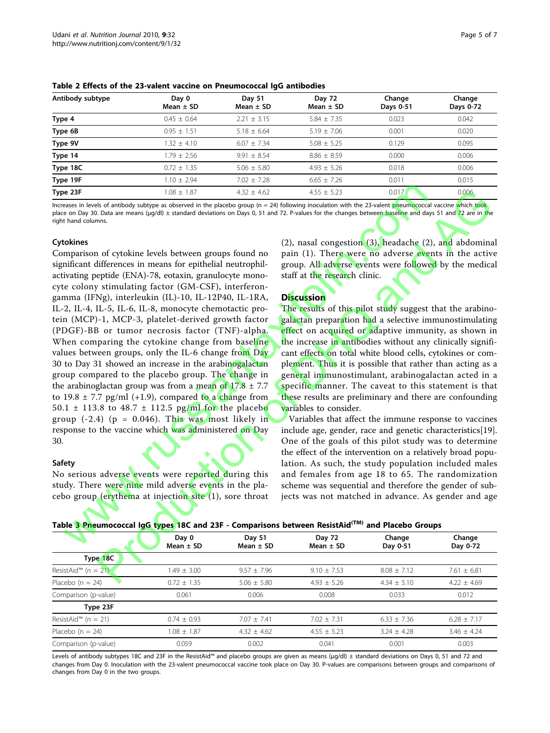| Antibody subtype | Day 0<br>Mean $\pm$ SD | Day 51<br>Mean $\pm$ SD | Day 72<br>Mean $\pm$ SD | Change<br>Days 0-51 | Change<br>Days 0-72 |
|------------------|------------------------|-------------------------|-------------------------|---------------------|---------------------|
| Type 4           | $0.45 \pm 0.64$        | $2.21 \pm 3.15$         | $5.84 \pm 7.35$         | 0.023               | 0.042               |
| Type 6B          | $0.95 \pm 1.51$        | $5.18 \pm 6.64$         | $5.19 \pm 7.06$         | 0.001               | 0.020               |
| Type 9V          | $1.32 \pm 4.10$        | $6.07 + 7.34$           | $5.08 \pm 5.25$         | 0.129               | 0.095               |
| Type 14          | $1.79 \pm 2.56$        | $9.91 + 8.54$           | $8.86 + 8.59$           | 0.000               | 0.006               |
| Type 18C         | $0.72 \pm 1.35$        | $5.06 \pm 5.80$         | $4.93 \pm 5.26$         | 0.018               | 0.006               |
| Type 19F         | $1.10 \pm 2.94$        | $7.02 \pm 7.28$         | $6.65 \pm 7.26$         | 0.011               | 0.015               |
| Type 23F         | $1.08 \pm 1.87$        | $4.32 \pm 4.62$         | $4.55 \pm 5.23$         | 0.017               | 0.006               |

<span id="page-4-0"></span>Table 2 Effects of the 23-valent vaccine on Pneumococcal IgG antibodies

Increases in levels of antibody subtype as observed in the placebo group ( $n = 24$ ) following inoculation with the 23-valent pneumococcal vaccine which too place on Day 30. Data are means (µg/dl) ± standard deviations on Days 0, 51 and 72. P-values for the changes between baseline and days 51 and 72 are in the right hand columns.

#### Cytokines

Comparison of cytokine levels between groups found no significant differences in means for epithelial neutrophilactivating peptide (ENA)-78, eotaxin, granulocyte monocyte colony stimulating factor (GM-CSF), interferongamma (IFNg), interleukin (IL)-10, IL-12P40, IL-1RA, IL-2, IL-4, IL-5, IL-6, IL-8, monocyte chemotactic protein (MCP)-1, MCP-3, platelet-derived growth factor (PDGF)-BB or tumor necrosis factor (TNF)-alpha. When comparing the cytokine change from baseline values between groups, only the IL-6 change from Day 30 to Day 31 showed an increase in the arabinogalactan group compared to the placebo group. The change in the arabinoglactan group was from a mean of  $17.8 \pm 7.7$ to 19.8  $\pm$  7.7 pg/ml (+1.9), compared to a change from 50.1  $\pm$  113.8 to 48.7  $\pm$  112.5 pg/ml for the placebo group  $(-2.4)$  (p = 0.046). This was most likely in response to the vaccine which was administered on Day 30. **Example 120**<br>
162 + 187<br>
162 + 187<br>
162 + 187<br>
162 + 187<br>
162 + 187<br>
162 + 187<br>
163 + 187<br>
163 band constant in the particle interest in the action with the 2-value for the compact interest photon<br>
has the more more part It of smitted united the same of the same of  $\sqrt{23} + 7.5 \pm 5.2$ <br>
Color are means in the passion of the same of the same of the same of the same of the same of the same of the same of the same of the same of the same of t

#### Safety

No serious adverse events were reported during this study. There were nine mild adverse events in the placebo group (erythema at injection site  $(1)$ , sore throat (2), nasal congestion  $(3)$ , headache  $(2)$ , and abdominal pain (1). There were no adverse events in the active group. All adverse events were followed by the medical staff at the research clinic.

# **Discussion**

The results of this pilot study suggest that the arabinogalactan preparation had a selective immunostimulating effect on acquired or adaptive immunity, as shown in the increase in antibodies without any clinically significant effects on total white blood cells, cytokines or complement. Thus it is possible that rather than acting as a general immunostimulant, arabinogalactan acted in a specific manner. The caveat to this statement is that these results are preliminary and there are confounding variables to consider.

Variables that affect the immune response to vaccines include age, gender, race and genetic characteristics[19]. One of the goals of this pilot study was to determine the effect of the intervention on a relatively broad population. As such, the study population included males and females from age 18 to 65. The randomization scheme was sequential and therefore the gender of subjects was not matched in advance. As gender and age

|  |  | Table 3 Pneumococcal IgG types 18C and 23F - Comparisons between ResistAid <sup>(TM)</sup> and Placebo Groups |  |
|--|--|---------------------------------------------------------------------------------------------------------------|--|
|  |  |                                                                                                               |  |

|                                 | Day 0<br>Mean $\pm$ SD | Day 51<br>Mean $\pm$ SD | Day 72<br>Mean $\pm$ SD | Change<br>Day 0-51 | Change<br>Day 0-72 |
|---------------------------------|------------------------|-------------------------|-------------------------|--------------------|--------------------|
| Type 18C                        |                        |                         |                         |                    |                    |
| ResistAid <sup>™</sup> (n = 21) | $1.49 + 3.00$          | $9.57 + 7.96$           | $9.10 + 7.53$           | $8.08 + 7.12$      | $7.61 \pm 6.81$    |
| Placebo ( $n = 24$ )            | $0.72 + 1.35$          | $5.06 + 5.80$           | $4.93 \pm 5.26$         | $4.34 + 5.10$      | $4.22 \pm 4.69$    |
| Comparison (p-value)            | 0.061                  | 0.006                   | 0.008                   | 0.033              | 0.012              |
| Type 23F                        |                        |                         |                         |                    |                    |
| ResistAid <sup>™</sup> (n = 21) | $0.74 + 0.93$          | $7.07 + 7.41$           | $7.02 + 7.31$           | $6.33 + 7.36$      | $6.28 + 7.17$      |
| Placebo ( $n = 24$ )            | $1.08 \pm 1.87$        | $4.32 \pm 4.62$         | $4.55 \pm 5.23$         | $3.24 + 4.28$      | $3.46 \pm 4.24$    |
| Comparison (p-value)            | 0.059                  | 0.002                   | 0.041                   | 0.001              | 0.003              |

Levels of antibody subtypes 18C and 23F in the ResistAid™ and placebo groups are given as means (μg/dl) ± standard deviations on Days 0, 51 and 72 and changes from Day 0. Inoculation with the 23-valent pneumococcal vaccine took place on Day 30. P-values are comparisons between groups and comparisons of changes from Day 0 in the two groups.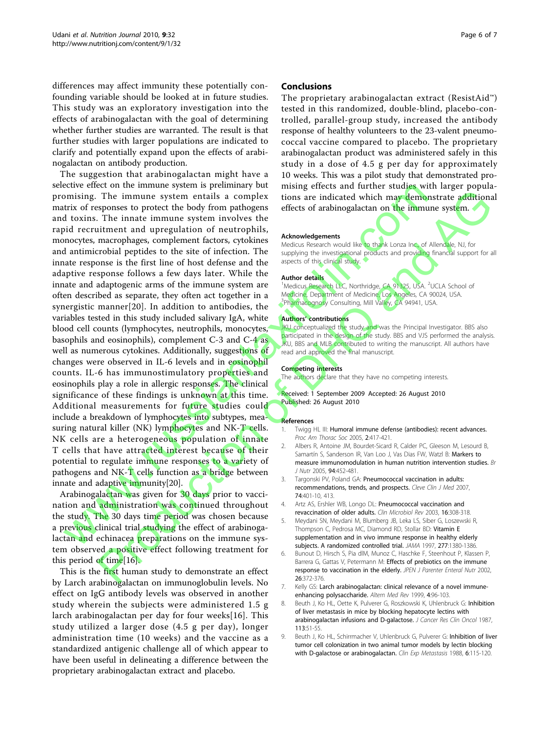<span id="page-5-0"></span>differences may affect immunity these potentially confounding variable should be looked at in future studies. This study was an exploratory investigation into the effects of arabinogalactan with the goal of determining whether further studies are warranted. The result is that further studies with larger populations are indicated to clarify and potentially expand upon the effects of arabinogalactan on antibody production.

The suggestion that arabinogalactan might have a selective effect on the immune system is preliminary but promising. The immune system entails a complex matrix of responses to protect the body from pathogens and toxins. The innate immune system involves the rapid recruitment and upregulation of neutrophils, monocytes, macrophages, complement factors, cytokines and antimicrobial peptides to the site of infection. The innate response is the first line of host defense and the adaptive response follows a few days later. While the innate and adaptogenic arms of the immune system are often described as separate, they often act together in a synergistic manner[20]. In addition to antibodies, the variables tested in this study included salivary IgA, white blood cell counts (lymphocytes, neutrophils, monocytes, basophils and eosinophils), complement C-3 and C-4 as well as numerous cytokines. Additionally, suggestions of changes were observed in IL-6 levels and in eosinophil counts. IL-6 has immunostimulatory properties and eosinophils play a role in allergic responses. The clinical significance of these findings is unknown at this time. Additional measurements for future studies could include a breakdown of lymphocytes into subtypes, measuring natural killer (NK) lymphocytes and NK-T cells. NK cells are a heterogeneous population of innate T cells that have attracted interest because of their potential to regulate immune responses to a variety of pathogens and NK-T cells function as a bridge between innate and adaptive immunity[20]. ective chiese measures them in specific and the measures of the measures of the state of the state of the state of the state of the state of the state of the state of the state of the state of the state of the state of the The immune system entails a complex tions are indicated which may demonstrate and the<br>sponses to protect the body from pathogens effects of analong<br>alattam on the immune system. The immue system involves the<br>direct of ana

Arabinogalactan was given for 30 days prior to vaccination and administration was continued throughout the study. The 30 days time period was chosen because a previous clinical trial studying the effect of arabinogalactan and echinacea preparations on the immune system observed a positive effect following treatment for this period of time[16].

This is the first human study to demonstrate an effect by Larch arabinogalactan on immunoglobulin levels. No effect on IgG antibody levels was observed in another study wherein the subjects were administered 1.5 g larch arabinogalactan per day for four weeks[[16\]](#page-6-0). This study utilized a larger dose (4.5 g per day), longer administration time (10 weeks) and the vaccine as a standardized antigenic challenge all of which appear to have been useful in delineating a difference between the proprietary arabinogalactan extract and placebo.

#### Conclusions

The proprietary arabinogalactan extract (ResistAid™) tested in this randomized, double-blind, placebo-controlled, parallel-group study, increased the antibody response of healthy volunteers to the 23-valent pneumococcal vaccine compared to placebo. The proprietary arabinogalactan product was administered safely in this study in a dose of 4.5 g per day for approximately 10 weeks. This was a pilot study that demonstrated promising effects and further studies with larger populations are indicated which may demonstrate additional effects of arabinogalactan on the immune system.

#### Acknowledgements

Medicus Research would like to thank Lonza Inc., of Allendale, NJ, for supplying the investigational products and providing financial support for all aspects of this clinical study.

#### Author details

<sup>1</sup>Medicus Research LLC, Northridge, CA 91325, USA. <sup>2</sup>UCLA School of Medicine, Department of Medicine, Los Angeles, CA 90024, USA. <sup>3</sup>Pharmacognosy Consulting, Mill Valley, CA 94941, USA.

#### Authors' contributions

KU conceptualized the study and was the Principal Investigator. BBS also participated in the design of the study. BBS and VJS performed the analysis. JKU, BBS and MLB contributed to writing the manuscript. All authors have read and approved the final manuscript.

#### Competing interests

The authors declare that they have no competing interests.

#### Received: 1 September 2009 Accepted: 26 August 2010 Published: 26 August 2010

#### **References**

- 1. Twigg HL III: Humoral immune defense (antibodies): recent advances. Proc Am Thorac Soc 2005, 2:417-421.
- 2. Albers R, Antoine JM, Bourdet-Sicard R, Calder PC, Gleeson M, Lesourd B, Samartín S, Sanderson IR, Van Loo J, Vas Dias FW, Watzl B: Markers to measure immunomodulation in human nutrition intervention studies. Br J Nutr 2005, 94:452-481.
- 3. Targonski PV, Poland GA: Pneumococcal vaccination in adults: recommendations, trends, and prospects. Cleve Clin J Med 2007, 74:401-10, 413.
- 4. Artz AS, Ershler WB, Longo DL: Pneumococcal vaccination and revaccination of older adults. Clin Microbiol Rev 2003, 16:308-318
- 5. Meydani SN, Meydani M, Blumberg JB, Leka LS, Siber G, Loszewski R, Thompson C, Pedrosa MC, Diamond RD, Stollar BD: Vitamin E supplementation and in vivo immune response in healthy elderly subjects. A randomized controlled trial. JAMA 1997, 277:1380-1386.
- 6. Bunout D, Hirsch S, Pia dlM, Munoz C, Haschke F, Steenhout P, Klassen P, Barrera G, Gattas V, Petermann M: Effects of prebiotics on the immune response to vaccination in the elderly. JPEN J Parenter Enteral Nutr 2002, 26:372-376.
- 7. Kelly GS: [Larch arabinogalactan: clinical relevance of a novel immune](http://www.ncbi.nlm.nih.gov/pubmed/10231609?dopt=Abstract)[enhancing polysaccharide.](http://www.ncbi.nlm.nih.gov/pubmed/10231609?dopt=Abstract) Altern Med Rev 1999, 4:96-103.
- 8. Beuth J, Ko HL, Oette K, Pulverer G, Roszkowski K, Uhlenbruck G: [Inhibition](http://www.ncbi.nlm.nih.gov/pubmed/3818778?dopt=Abstract) [of liver metastasis in mice by blocking hepatocyte lectins with](http://www.ncbi.nlm.nih.gov/pubmed/3818778?dopt=Abstract) [arabinogalactan infusions and D-galactose.](http://www.ncbi.nlm.nih.gov/pubmed/3818778?dopt=Abstract) J Cancer Res Clin Oncol 1987, 113:51-55.
- 9. Beuth J, Ko HL, Schirrmacher V, Uhlenbruck G, Pulverer G: [Inhibition of liver](http://www.ncbi.nlm.nih.gov/pubmed/3345610?dopt=Abstract) [tumor cell colonization in two animal tumor models by lectin blocking](http://www.ncbi.nlm.nih.gov/pubmed/3345610?dopt=Abstract) [with D-galactose or arabinogalactan.](http://www.ncbi.nlm.nih.gov/pubmed/3345610?dopt=Abstract) Clin Exp Metastasis 1988, 6:115-120.